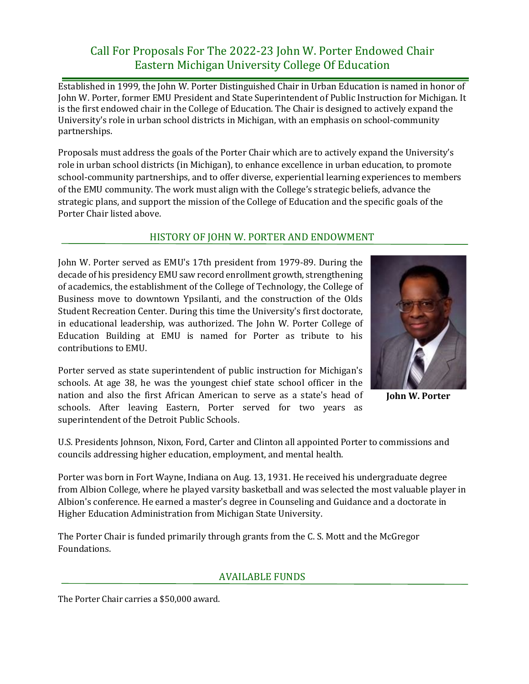## Call For Proposals For The 2022-23 John W. Porter Endowed Chair Eastern Michigan University College Of Education

Established in 1999, the John W. Porter Distinguished Chair in Urban Education is named in honor of John W. Porter, former EMU President and State Superintendent of Public Instruction for Michigan. It is the first endowed chair in the College of Education. The Chair is designed to actively expand the University's role in urban school districts in Michigan, with an emphasis on school-community partnerships.

Proposals must address the goals of the Porter Chair which are to actively expand the University's role in urban school districts (in Michigan), to enhance excellence in urban education, to promote school-community partnerships, and to offer diverse, experiential learning experiences to members of the EMU community. The work must align with the College's strategic beliefs, advance the strategic plans, and support the mission of the College of Education and the specific goals of the Porter Chair listed above.

## HISTORY OF JOHN W. PORTER AND ENDOWMENT

John W. Porter served as EMU's 17th president from 1979-89. During the decade of his presidency EMU saw record enrollment growth, strengthening of academics, the establishment of the College of Technology, the College of Business move to downtown Ypsilanti, and the construction of the Olds Student Recreation Center. During this time the University's first doctorate, in educational leadership, was authorized. The John W. Porter College of Education Building at EMU is named for Porter as tribute to his contributions to EMU.

Porter served as state superintendent of public instruction for Michigan's schools. At age 38, he was the youngest chief state school officer in the nation and also the first African American to serve as a state's head of schools. After leaving Eastern, Porter served for two years as superintendent of the Detroit Public Schools.



**John W. Porter**

U.S. Presidents Johnson, Nixon, Ford, Carter and Clinton all appointed Porter to commissions and councils addressing higher education, employment, and mental health.

Porter was born in Fort Wayne, Indiana on Aug. 13, 1931. He received his undergraduate degree from Albion College, where he played varsity basketball and was selected the most valuable player in Albion's conference. He earned a master's degree in Counseling and Guidance and a doctorate in Higher Education Administration from Michigan State University.

The Porter Chair is funded primarily through grants from the C. S. Mott and the McGregor Foundations.

## AVAILABLE FUNDS

The Porter Chair carries a \$50,000 award.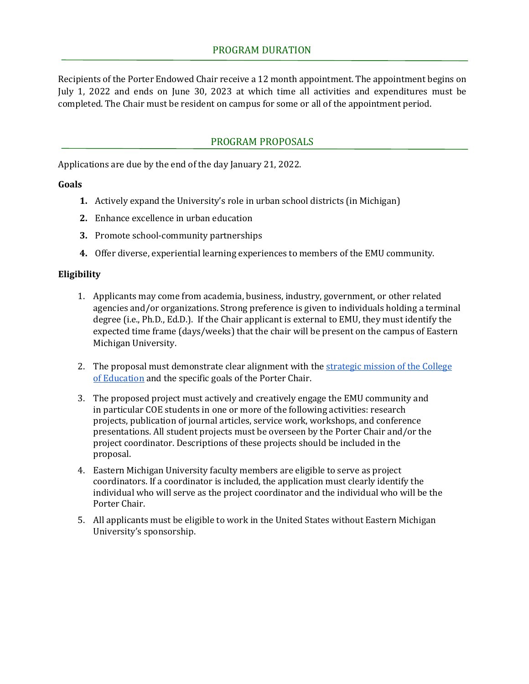Recipients of the Porter Endowed Chair receive a 12 month appointment. The appointment begins on July 1, 2022 and ends on June 30, 2023 at which time all activities and expenditures must be completed. The Chair must be resident on campus for some or all of the appointment period.

## PROGRAM PROPOSALS

Applications are due by the end of the day January 21, 2022.

#### **Goals**

- **1.** Actively expand the University's role in urban school districts (in Michigan)
- **2.** Enhance excellence in urban education
- **3.** Promote school-community partnerships
- **4.** Offer diverse, experiential learning experiences to members of the EMU community.

#### **Eligibility**

- 1. Applicants may come from academia, business, industry, government, or other related agencies and/or organizations. Strong preference is given to individuals holding a terminal degree (i.e., Ph.D., Ed.D.). If the Chair applicant is external to EMU, they must identify the expected time frame (days/weeks) that the chair will be present on the campus of Eastern Michigan University.
- 2. The proposal must demonstrate clear alignment with the strategic mission of the College [of Education](https://www.emich.edu/coe/about/coe-strategic-goals.php) and the specific goals of the Porter Chair.
- 3. The proposed project must actively and creatively engage the EMU community and in particular COE students in one or more of the following activities: research projects, publication of journal articles, service work, workshops, and conference presentations. All student projects must be overseen by the Porter Chair and/or the project coordinator. Descriptions of these projects should be included in the proposal.
- 4. Eastern Michigan University faculty members are eligible to serve as project coordinators. If a coordinator is included, the application must clearly identify the individual who will serve as the project coordinator and the individual who will be the Porter Chair.
- 5. All applicants must be eligible to work in the United States without Eastern Michigan University's sponsorship.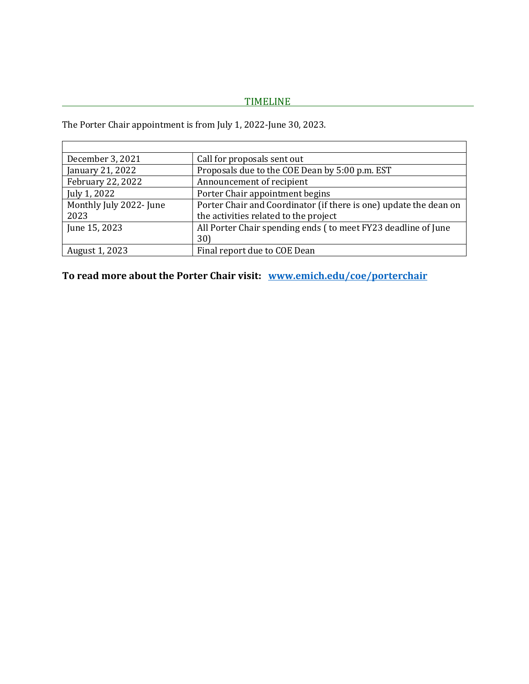# TIMELINE **TELEVISION**

The Porter Chair appointment is from July 1, 2022-June 30, 2023.

| December 3, 2021        | Call for proposals sent out                                       |
|-------------------------|-------------------------------------------------------------------|
| January 21, 2022        | Proposals due to the COE Dean by 5:00 p.m. EST                    |
| February 22, 2022       | Announcement of recipient                                         |
| July 1, 2022            | Porter Chair appointment begins                                   |
| Monthly July 2022- June | Porter Chair and Coordinator (if there is one) update the dean on |
| 2023                    | the activities related to the project                             |
| June 15, 2023           | All Porter Chair spending ends (to meet FY23 deadline of June     |
|                         | 30)                                                               |
| August 1, 2023          | Final report due to COE Dean                                      |

**To read more about the Porter Chair visit: [www.emich.edu/coe/porterchair](http://www.emich.edu/coe/porterchair)**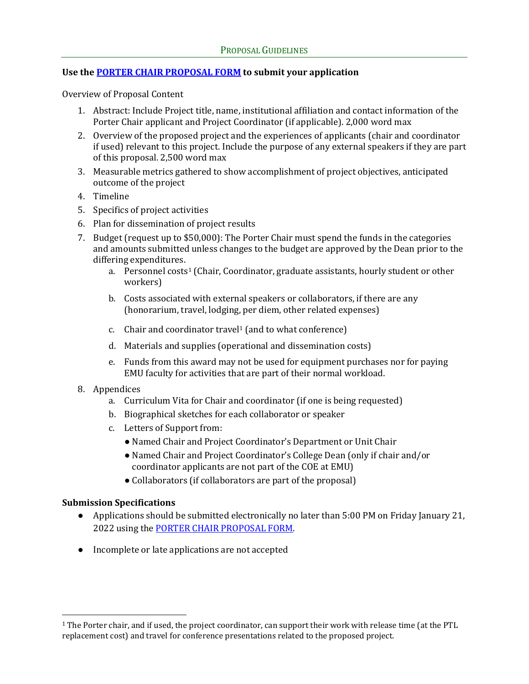## **Use th[e PORTER CHAIR PROPOSAL FORM](https://www.emich.edu/coe/about/endowed-chairs/porter-chair-proposal-form.php) to submit your application**

Overview of Proposal Content

- 1. Abstract: Include Project title, name, institutional affiliation and contact information of the Porter Chair applicant and Project Coordinator (if applicable). 2,000 word max
- 2. Overview of the proposed project and the experiences of applicants (chair and coordinator if used) relevant to this project. Include the purpose of any external speakers if they are part of this proposal. 2,500 word max
- 3. Measurable metrics gathered to show accomplishment of project objectives, anticipated outcome of the project
- 4. Timeline
- 5. Specifics of project activities
- 6. Plan for dissemination of project results
- 7. Budget (request up to \$50,000): The Porter Chair must spend the funds in the categories and amounts submitted unless changes to the budget are approved by the Dean prior to the differing expenditures.
	- a. Personnel costs<sup>[1](#page-3-0)</sup> (Chair, Coordinator, graduate assistants, hourly student or other workers)
	- b. Costs associated with external speakers or collaborators, if there are any (honorarium, travel, lodging, per diem, other related expenses)
	- c. Chair and coordinator travel1 (and to what conference)
	- d. Materials and supplies (operational and dissemination costs)
	- e. Funds from this award may not be used for equipment purchases nor for paying EMU faculty for activities that are part of their normal workload.
- 8. Appendices
	- a. Curriculum Vita for Chair and coordinator (if one is being requested)
	- b. Biographical sketches for each collaborator or speaker
	- c. Letters of Support from:
		- Named Chair and Project Coordinator's Department or Unit Chair
		- Named Chair and Project Coordinator's College Dean (only if chair and/or coordinator applicants are not part of the COE at EMU)
		- Collaborators (if collaborators are part of the proposal)

## **Submission Specifications**

- Applications should be submitted electronically no later than 5:00 PM on Friday January 21, 2022 using the [PORTER CHAIR PROPOSAL FORM.](https://www.emich.edu/coe/about/endowed-chairs/porter-chair-proposal-form.php)
- Incomplete or late applications are not accepted

<span id="page-3-0"></span> <sup>1</sup> The Porter chair, and if used, the project coordinator, can support their work with release time (at the PTL replacement cost) and travel for conference presentations related to the proposed project.